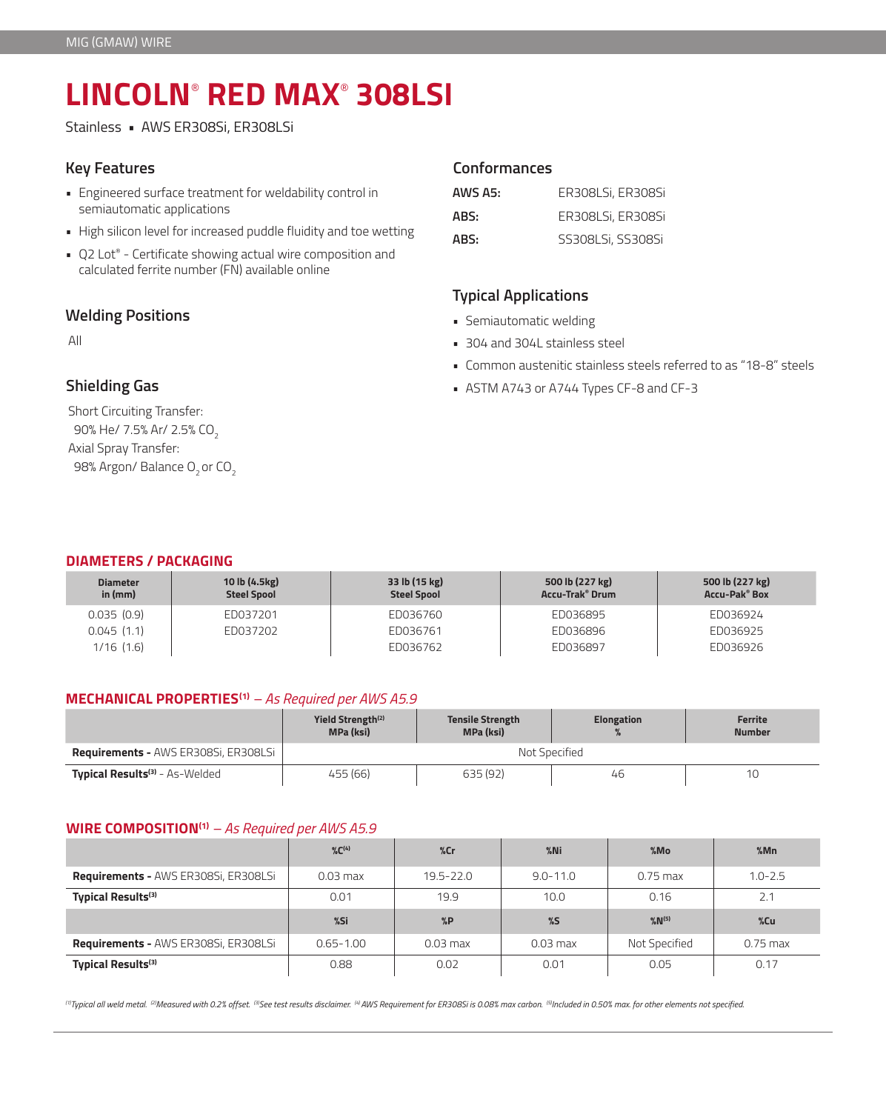# **LINCOLN**®  **RED MAX**®  **308LSI**

Stainless • AWS ER308Si, ER308LSi

### **Key Features**

- Engineered surface treatment for weldability control in semiautomatic applications
- High silicon level for increased puddle fluidity and toe wetting
- Q2 Lot® Certificate showing actual wire composition and calculated ferrite number (FN) available online

## **Welding Positions**

All

# **Shielding Gas**

Short Circuiting Transfer: 90% He/ 7.5% Ar/ 2.5% CO<sub>2</sub> Axial Spray Transfer: 98% Argon/ Balance O<sub>2</sub> or CO<sub>2</sub>

## **Conformances**

| AWS A5: | ER308LSi, ER308Si |
|---------|-------------------|
| ABS:    | ER308LSi, ER308Si |
| ABS:    | SS308LSi, SS308Si |

## **Typical Applications**

- Semiautomatic welding
- 304 and 304L stainless steel
- Common austenitic stainless steels referred to as "18-8" steels
- ASTM A743 or A744 Types CF-8 and CF-3

#### **DIAMETERS / PACKAGING**

| <b>Diameter</b><br>in $(mm)$ | 10 lb (4.5kg)<br><b>Steel Spool</b> | 33 lb (15 kg)<br><b>Steel Spool</b> | 500 lb (227 kg)<br><b>Accu-Trak<sup>®</sup> Drum</b> | 500 lb (227 kg)<br><b>Accu-Pak® Box</b> |
|------------------------------|-------------------------------------|-------------------------------------|------------------------------------------------------|-----------------------------------------|
| 0.035(0.9)                   | ED037201                            | ED036760                            | ED036895                                             | ED036924                                |
| 0.045(1.1)                   | ED037202                            | ED036761                            | ED036896                                             | ED036925                                |
| $1/16$ $(1.6)$               |                                     | ED036762                            | ED036897                                             | ED036926                                |

#### **MECHANICAL PROPERTIES(1)** *– As Required per AWS A5.9*

|                                                  | Yield Strength <sup>(2)</sup><br>MPa (ksi) | <b>Tensile Strength</b><br><b>Elongation</b><br><b>MPa (ksi)</b> |    | Ferrite<br><b>Number</b> |  |
|--------------------------------------------------|--------------------------------------------|------------------------------------------------------------------|----|--------------------------|--|
| <b>Requirements - AWS ER308Si, ER308LSi</b>      | Not Specified                              |                                                                  |    |                          |  |
| <b>Typical Results<sup>(3)</sup></b> - As-Welded | 455 (66)                                   | 635 (92)                                                         | 46 | 1C                       |  |

#### **WIRE COMPOSITION(1)** *– As Required per AWS A5.9*

|                                             | $\%C^{(4)}$   | %cr           | $%$ Ni       | %MO                   | %Mn         |
|---------------------------------------------|---------------|---------------|--------------|-----------------------|-------------|
| <b>Requirements - AWS ER308Si, ER308LSi</b> | $0.03$ max    | $19.5 - 22.0$ | $9.0 - 11.0$ | $0.75$ max            | $1.0 - 2.5$ |
| Typical Results <sup>(3)</sup>              | 0.01          | 19.9          | 10.0         | 0.16                  | 2.1         |
|                                             |               |               |              |                       |             |
|                                             | %Si           | $\%P$         | %5           | $\%$ N <sup>(5)</sup> | %Cu         |
| <b>Requirements - AWS ER308Si, ER308LSi</b> | $0.65 - 1.00$ | $0.03$ max    | $0.03$ max   | Not Specified         | $0.75$ max  |

*(1)Typical all weld metal. (2)Measured with 0.2% offset. (3)See test results disclaimer. (4) AWS Requirement for ER308Si is 0.08% max carbon. (5)Included in 0.50% max. for other elements not specified.*